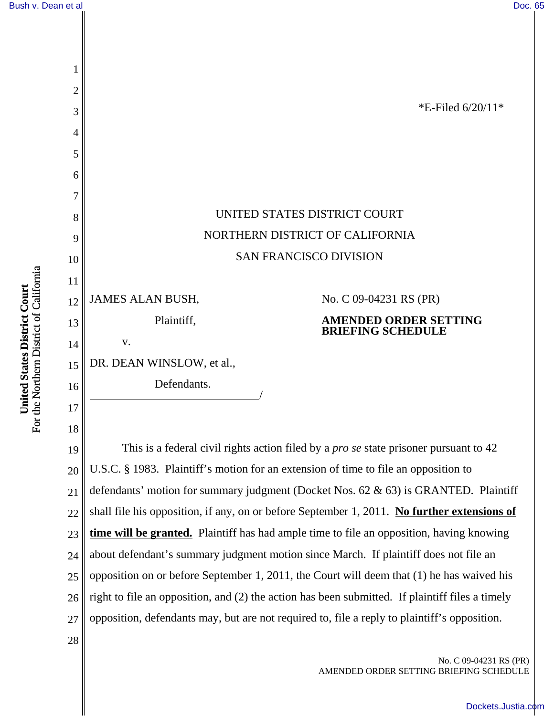No. C 09-04231 RS (PR)

[Dockets.Justia.com](http://dockets.justia.com/)

AMENDED ORDER SETTING BRIEFING SCHEDULE



24 25 26 27 about defendant's summary judgment motion since March. If plaintiff does not file an opposition on or before September 1, 2011, the Court will deem that (1) he has waived his right to file an opposition, and (2) the action has been submitted. If plaintiff files a timely opposition, defendants may, but are not required to, file a reply to plaintiff's opposition.

For the Northern District of California For the Northern District of California United States District Court **United States District Court**

28